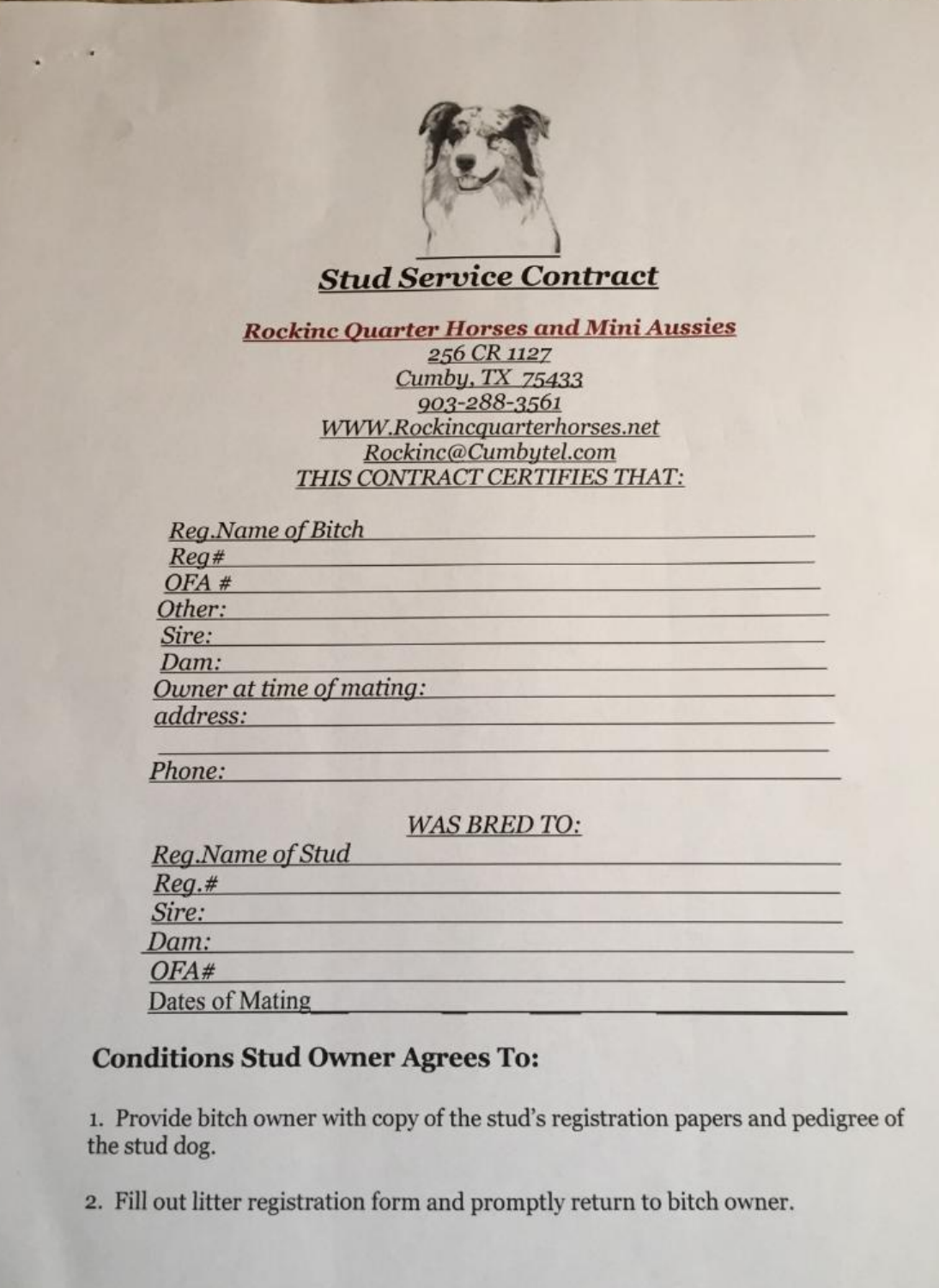

# **Stud Service Contract**

**Rockinc Quarter Horses and Mini Aussies** 

256 CR 1127 Cumby, TX 75433 903-288-3561 WWW.Rockincquarterhorses.net Rockinc@Cumbytel.com THIS CONTRACT CERTIFIES THAT:

| <b>Reg.Name of Bitch</b> |  |
|--------------------------|--|
| Reg#                     |  |
| OFA#                     |  |
| Other:                   |  |
| Sire:                    |  |
| Dam:                     |  |
| Owner at time of mating: |  |
| address:                 |  |
|                          |  |

**WAS BRED TO:** 

| Reg.Name of Stud |  |
|------------------|--|
| $Reg.$ #         |  |
| Sire:            |  |
| Dam:             |  |
| OFA#             |  |
| Dates of Mating  |  |

## **Conditions Stud Owner Agrees To:**

Phone:

1. Provide bitch owner with copy of the stud's registration papers and pedigree of the stud dog.

2. Fill out litter registration form and promptly return to bitch owner.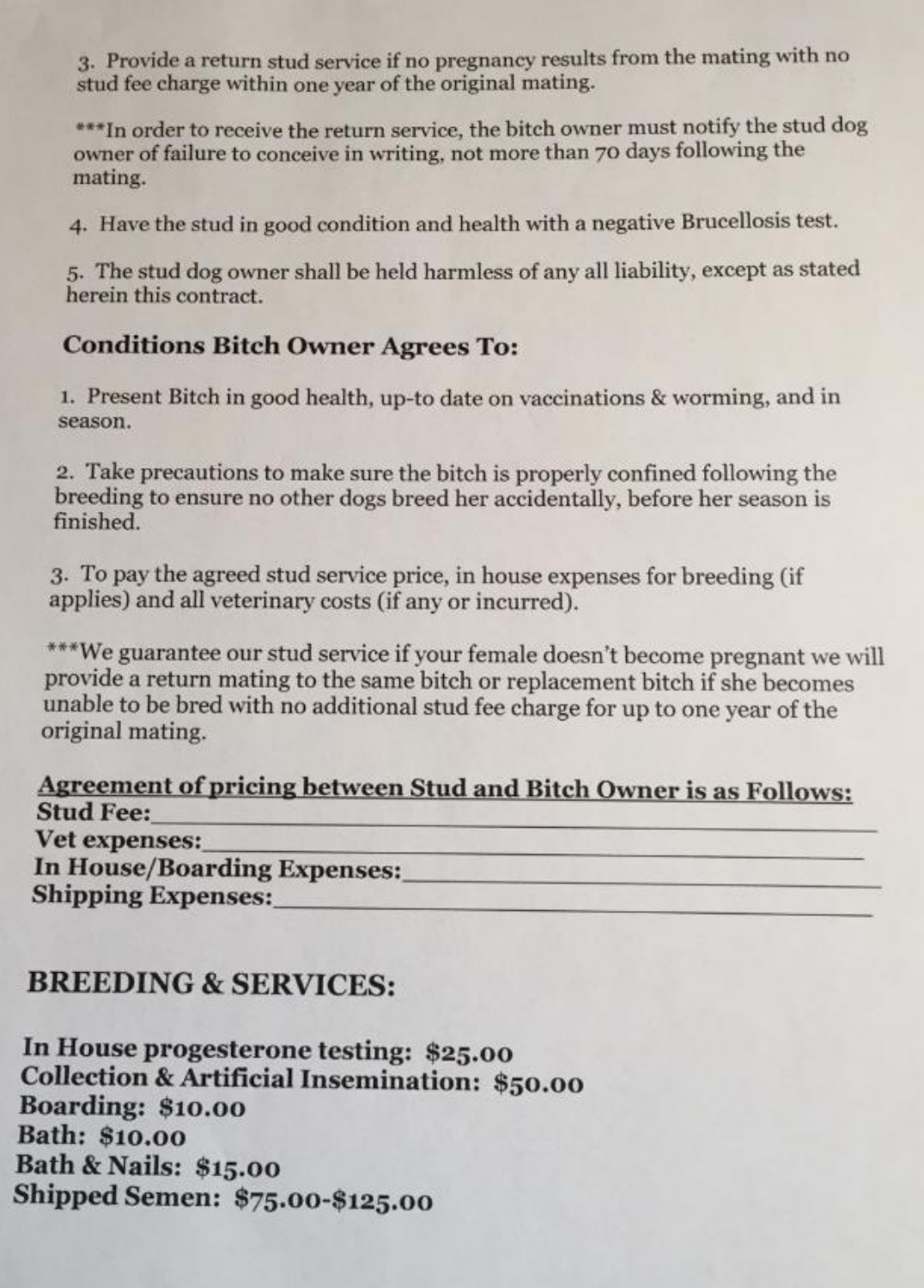3. Provide a return stud service if no pregnancy results from the mating with no stud fee charge within one year of the original mating.

\*\*\* In order to receive the return service, the bitch owner must notify the stud dog owner of failure to conceive in writing, not more than 70 days following the mating.

4. Have the stud in good condition and health with a negative Brucellosis test.

5. The stud dog owner shall be held harmless of any all liability, except as stated herein this contract.

#### **Conditions Bitch Owner Agrees To:**

1. Present Bitch in good health, up-to date on vaccinations & worming, and in season.

2. Take precautions to make sure the bitch is properly confined following the breeding to ensure no other dogs breed her accidentally, before her season is finished.

3. To pay the agreed stud service price, in house expenses for breeding (if applies) and all veterinary costs (if any or incurred).

\*\*\*We guarantee our stud service if your female doesn't become pregnant we will provide a return mating to the same bitch or replacement bitch if she becomes unable to be bred with no additional stud fee charge for up to one year of the original mating.

Agreement of pricing between Stud and Bitch Owner is as Follows: **Stud Fee:** Vet expenses: **In House/Boarding Expenses: Shipping Expenses:** 

### **BREEDING & SERVICES:**

In House progesterone testing: \$25.00 **Collection & Artificial Insemination: \$50.00 Boarding: \$10.00 Bath: \$10.00 Bath & Nails: \$15.00** Shipped Semen: \$75.00-\$125.00